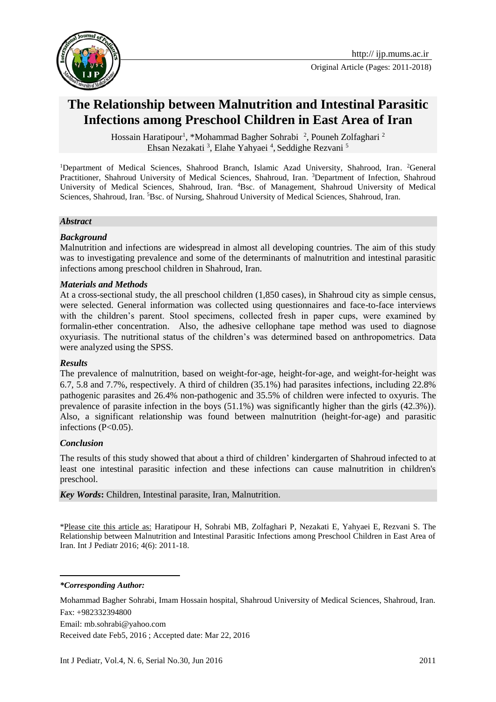

# **The Relationship between Malnutrition and Intestinal Parasitic Infections among Preschool Children in East Area of Iran**

Hossain Haratipour<sup>1</sup>, \*Mohammad Bagher Sohrabi<sup>2</sup>, Pouneh Zolfaghari<sup>2</sup> Ehsan Nezakati<sup>3</sup>, Elahe Yahyaei<sup>4</sup>, Seddighe Rezvani<sup>5</sup>

<sup>1</sup>Department of Medical Sciences, Shahrood Branch, Islamic Azad University, Shahrood, Iran. <sup>2</sup>General Practitioner, Shahroud University of Medical Sciences, Shahroud, Iran. <sup>3</sup>Department of Infection, Shahroud University of Medical Sciences, Shahroud, Iran. <sup>4</sup>Bsc. of Management, Shahroud University of Medical Sciences, Shahroud, Iran. <sup>5</sup>Bsc. of Nursing, Shahroud University of Medical Sciences, Shahroud, Iran.

#### *Abstract*

#### *Background*

Malnutrition and infections are widespread in almost all developing countries. The aim of this study was to investigating prevalence and some of the determinants of malnutrition and intestinal parasitic infections among preschool children in Shahroud, Iran.

#### *Materials and Methods*

At a cross-sectional study, the all preschool children (1,850 cases), in Shahroud city as simple census, were selected. General information was collected using questionnaires and face-to-face interviews with the children's parent. Stool specimens, collected fresh in paper cups, were examined by formalin-ether concentration. Also, the adhesive cellophane tape method was used to diagnose oxyuriasis. The nutritional status of the children's was determined based on anthropometrics. Data were analyzed using the SPSS.

#### *Results*

The prevalence of malnutrition, based on weight-for-age, height-for-age, and weight-for-height was 6.7, 5.8 and 7.7%, respectively. A third of children (35.1%) had parasites infections, including 22.8% pathogenic parasites and 26.4% non-pathogenic and 35.5% of children were infected to oxyuris. The prevalence of parasite infection in the boys (51.1%) was significantly higher than the girls (42.3%)). Also, a significant relationship was found between malnutrition (height-for-age) and parasitic infections  $(P<0.05)$ .

#### *Conclusion*

The results of this study showed that about a third of children' kindergarten of Shahroud infected to at least one intestinal parasitic infection and these infections can cause malnutrition in children's preschool.

*Key Words***:** Children, Intestinal parasite, Iran, Malnutrition.

\*Please cite this article as: Haratipour H, Sohrabi MB, Zolfaghari P, Nezakati E, Yahyaei E, Rezvani S. The Relationship between Malnutrition and Intestinal Parasitic Infections among Preschool Children in East Area of Iran. Int J Pediatr 2016; 4(6): 2011-18.

*\*Corresponding Author:*

 $\overline{\phantom{a}}$ 

Mohammad Bagher Sohrabi, Imam Hossain hospital, Shahroud University of Medical Sciences, Shahroud, Iran. Fax: +982332394800

Email: mb.sohrabi@yahoo.com

Received date Feb5, 2016 ; Accepted date: Mar 22, 2016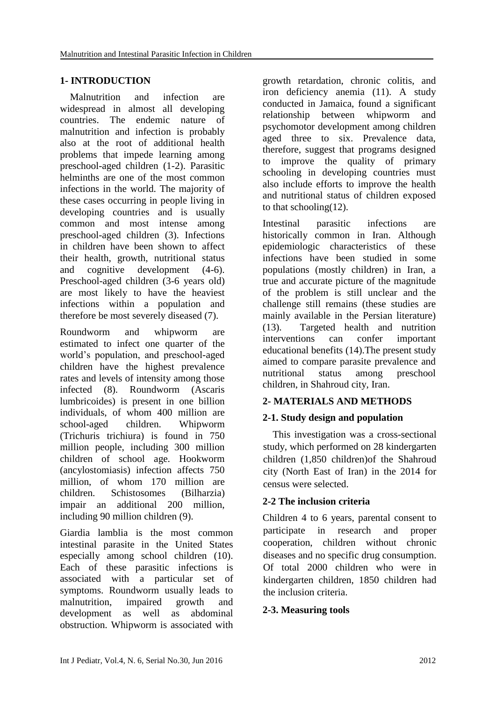# **1- INTRODUCTION**

 Malnutrition and infection are widespread in almost all developing countries. The endemic nature of malnutrition and infection is probably also at the root of additional health problems that impede learning among preschool-aged children (1-2). Parasitic helminths are one of the most common infections in the world. The majority of these cases occurring in people living in developing countries and is usually common and most intense among preschool-aged children (3). Infections in children have been shown to affect their health, growth, nutritional status and cognitive development (4-6). Preschool-aged children (3-6 years old) are most likely to have the heaviest infections within a population and therefore be most severely diseased (7).

Roundworm and whipworm are estimated to infect one quarter of the world's population, and preschool-aged children have the highest prevalence rates and levels of intensity among those infected (8). Roundworm (Ascaris lumbricoides) is present in one billion individuals, of whom 400 million are school-aged children. Whipworm (Trichuris trichiura) is found in 750 million people, including 300 million children of school age. Hookworm (ancylostomiasis) infection affects 750 million, of whom 170 million are children. Schistosomes (Bilharzia) impair an additional 200 million, including 90 million children (9).

Giardia lamblia is the most common intestinal parasite in the United States especially among school children (10). Each of these parasitic infections is associated with a particular set of symptoms. Roundworm usually leads to malnutrition, impaired growth and development as well as abdominal obstruction. Whipworm is associated with growth retardation, chronic colitis, and iron deficiency anemia (11). A study conducted in Jamaica, found a significant relationship between whipworm and psychomotor development among children aged three to six. Prevalence data, therefore, suggest that programs designed to improve the quality of primary schooling in developing countries must also include efforts to improve the health and nutritional status of children exposed to that schooling $(12)$ .

Intestinal parasitic infections are historically common in Iran. Although epidemiologic characteristics of these infections have been studied in some populations (mostly children) in Iran, a true and accurate picture of the magnitude of the problem is still unclear and the challenge still remains (these studies are mainly available in the Persian literature) (13). Targeted health and nutrition interventions can confer important educational benefits (14).The present study aimed to compare parasite prevalence and nutritional status among preschool children, in Shahroud city, Iran.

# **2- MATERIALS AND METHODS**

# **2-1. Study design and population**

 This investigation was a cross-sectional study, which performed on 28 kindergarten children (1,850 children)of the Shahroud city (North East of Iran) in the 2014 for census were selected.

# **2-2 The inclusion criteria**

Children 4 to 6 years, parental consent to participate in research and proper cooperation, children without chronic diseases and no specific drug consumption. Of total 2000 children who were in kindergarten children, 1850 children had the inclusion criteria.

# **2-3. Measuring tools**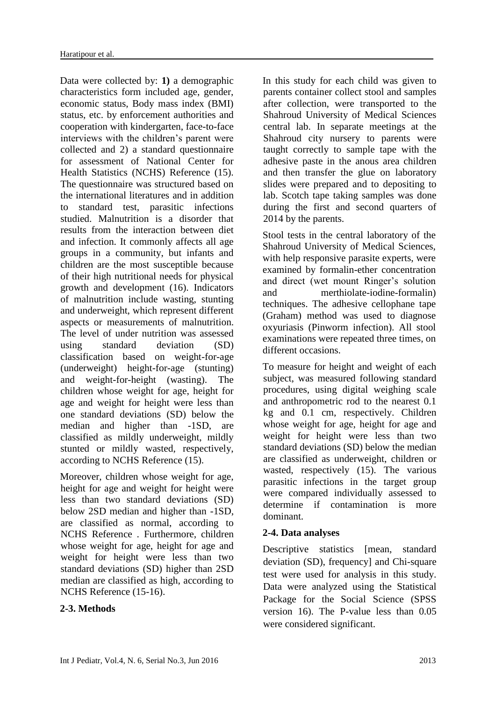Data were collected by: **1)** a demographic characteristics form included age, gender, economic status, Body mass index (BMI) status, etc. by enforcement authorities and cooperation with kindergarten, face-to-face interviews with the children's parent were collected and 2) a standard questionnaire for assessment of National Center for Health Statistics (NCHS) Reference (15). The questionnaire was structured based on the international literatures and in addition to standard test, parasitic infections studied. Malnutrition is a disorder that results from the interaction between diet and infection. It commonly affects all age groups in a community, but infants and children are the most susceptible because of their high nutritional needs for physical growth and development (16). Indicators of malnutrition include wasting, stunting and underweight, which represent different aspects or measurements of malnutrition. The level of under nutrition was assessed using standard deviation (SD) classification based on weight-for-age (underweight) height-for-age (stunting) and weight-for-height (wasting). The children whose weight for age, height for age and weight for height were less than one standard deviations (SD) below the median and higher than -1SD, are classified as mildly underweight, mildly stunted or mildly wasted, respectively, according to NCHS Reference (15).

Moreover, children whose weight for age, height for age and weight for height were less than two standard deviations (SD) below 2SD median and higher than -1SD, are classified as normal, according to NCHS Reference . Furthermore, children whose weight for age, height for age and weight for height were less than two standard deviations (SD) higher than 2SD median are classified as high, according to NCHS Reference (15-16).

# **2-3. Methods**

In this study for each child was given to parents container collect stool and samples after collection, were transported to the Shahroud University of Medical Sciences central lab. In separate meetings at the Shahroud city nursery to parents were taught correctly to sample tape with the adhesive paste in the anous area children and then transfer the glue on laboratory slides were prepared and to depositing to lab. Scotch tape taking samples was done during the first and second quarters of 2014 by the parents.

Stool tests in the central laboratory of the Shahroud University of Medical Sciences, with help responsive parasite experts, were examined by formalin-ether concentration and direct (wet mount Ringer's solution and merthiolate-iodine-formalin) techniques. The adhesive cellophane tape (Graham) method was used to diagnose oxyuriasis (Pinworm infection). All stool examinations were repeated three times, on different occasions.

To measure for height and weight of each subject, was measured following standard procedures, using digital weighing scale and anthropometric rod to the nearest 0.1 kg and 0.1 cm, respectively. Children whose weight for age, height for age and weight for height were less than two standard deviations (SD) below the median are classified as underweight, children or wasted, respectively (15). The various parasitic infections in the target group were compared individually assessed to determine if contamination is more dominant.

# **2-4. Data analyses**

Descriptive statistics [mean, standard] deviation (SD), frequency] and Chi-square test were used for analysis in this study. Data were analyzed using the Statistical Package for the Social Science (SPSS version 16). The P-value less than 0.05 were considered significant.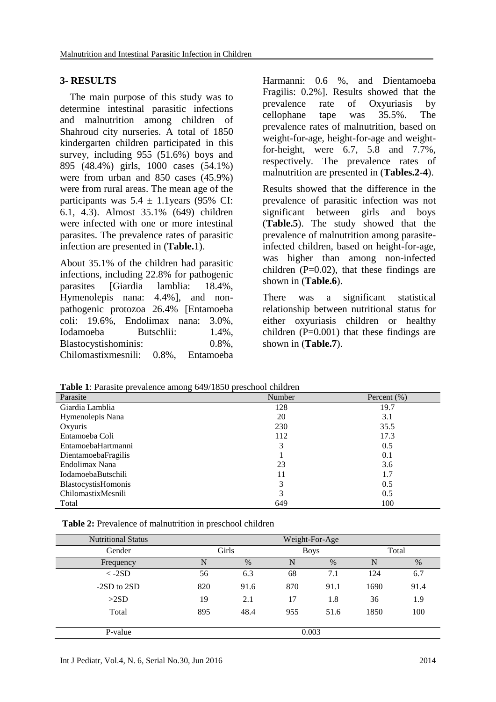#### **3- RESULTS**

 The main purpose of this study was to determine intestinal parasitic infections and malnutrition among children of Shahroud city nurseries. A total of 1850 kindergarten children participated in this survey, including 955 (51.6%) boys and 895 (48.4%) girls, 1000 cases (54.1%) were from urban and 850 cases (45.9%) were from rural areas. The mean age of the participants was  $5.4 \pm 1.1$  years (95% CI: 6.1, 4.3). Almost 35.1% (649) children were infected with one or more intestinal parasites. The prevalence rates of parasitic infection are presented in (**Table.**1).

About 35.1% of the children had parasitic infections, including 22.8% for pathogenic parasites [Giardia lamblia: 18.4%, Hymenolepis nana: 4.4%], and nonpathogenic protozoa 26.4% [Entamoeba coli: 19.6%, Endolimax nana: 3.0%, Iodamoeba Butschlii: 1.4%, Blastocystishominis: 0.8%, Chilomastixmesnili: 0.8%, Entamoeba

Harmanni: 0.6 %, and Dientamoeba Fragilis: 0.2%]. Results showed that the prevalence rate of Oxyuriasis by cellophane tape was 35.5%. The prevalence rates of malnutrition, based on weight-for-age, height-for-age and weightfor-height, were 6.7, 5.8 and 7.7%, respectively. The prevalence rates of malnutrition are presented in (**Tables.2-4**).

Results showed that the difference in the prevalence of parasitic infection was not significant between girls and boys (**Table.5**). The study showed that the prevalence of malnutrition among parasiteinfected children, based on height-for-age, was higher than among non-infected children  $(P=0.02)$ , that these findings are shown in (**Table.6**).

There was a significant statistical relationship between nutritional status for either oxyuriasis children or healthy children  $(P=0.001)$  that these findings are shown in (**Table.7**).

**Table 1**: Parasite prevalence among 649/1850 preschool children

| ັ                         |        |                 |
|---------------------------|--------|-----------------|
| Parasite                  | Number | Percent $(\% )$ |
| Giardia Lamblia           | 128    | 19.7            |
| Hymenolepis Nana          | 20     | 3.1             |
| Oxyuris                   | 230    | 35.5            |
| Entamoeba Coli            | 112    | 17.3            |
| EntamoebaHartmanni        | 3      | 0.5             |
| DientamoebaFragilis       |        | 0.1             |
| Endolimax Nana            | 23     | 3.6             |
| <b>IodamoebaButschili</b> | 11     | 1.7             |
| BlastocystisHomonis       | 3      | 0.5             |
| ChilomastixMesnili        | 3      | 0.5             |
| Total                     | 649    | 100             |

| Table 2: Prevalence of malnutrition in preschool children |  |
|-----------------------------------------------------------|--|
|-----------------------------------------------------------|--|

| <b>Nutritional Status</b> | Weight-For-Age |       |     |             |      |       |  |
|---------------------------|----------------|-------|-----|-------------|------|-------|--|
| Gender                    |                | Girls |     | <b>Boys</b> |      | Total |  |
| Frequency                 | N              | $\%$  | N   | $\%$        | N    | %     |  |
| $< -2SD$                  | 56             | 6.3   | 68  | 7.1         | 124  | 6.7   |  |
| $-2SD$ to $2SD$           | 820            | 91.6  | 870 | 91.1        | 1690 | 91.4  |  |
| >2SD                      | 19             | 2.1   | 17  | 1.8         | 36   | 1.9   |  |
| Total                     | 895            | 48.4  | 955 | 51.6        | 1850 | 100   |  |
|                           |                |       |     |             |      |       |  |
| P-value                   | 0.003          |       |     |             |      |       |  |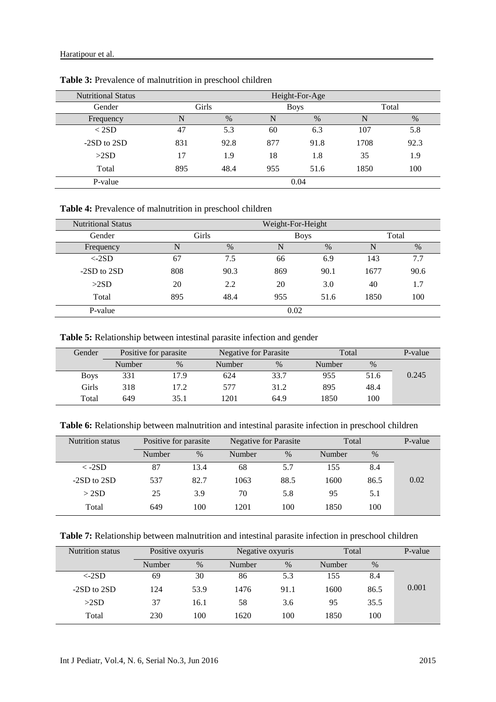| <b>Nutritional Status</b> | Height-For-Age |      |     |             |      |       |  |  |  |
|---------------------------|----------------|------|-----|-------------|------|-------|--|--|--|
| Gender                    | Girls          |      |     | <b>Boys</b> |      | Total |  |  |  |
| Frequency                 | N              | $\%$ | N   | $\%$        | N    | $\%$  |  |  |  |
| < 2SD                     | 47             | 5.3  | 60  | 6.3         | 107  | 5.8   |  |  |  |
| $-2SD$ to $2SD$           | 831            | 92.8 | 877 | 91.8        | 1708 | 92.3  |  |  |  |
| >2SD                      | 17             | 1.9  | 18  | 1.8         | 35   | 1.9   |  |  |  |
| Total                     | 895            | 48.4 | 955 | 51.6        | 1850 | 100   |  |  |  |
| P-value                   |                | 0.04 |     |             |      |       |  |  |  |

**Table 3:** Prevalence of malnutrition in preschool children

**Table 4:** Prevalence of malnutrition in preschool children

| <b>Nutritional Status</b> | Weight-For-Height |      |     |             |      |       |  |
|---------------------------|-------------------|------|-----|-------------|------|-------|--|
| Gender                    | Girls             |      |     | <b>Boys</b> |      | Total |  |
| Frequency                 | N                 | $\%$ | N   | $\%$        | N    | $\%$  |  |
| $\langle$ -2SD            | 67                | 7.5  | 66  | 6.9         | 143  | 7.7   |  |
| $-2SD$ to $2SD$           | 808               | 90.3 | 869 | 90.1        | 1677 | 90.6  |  |
| >2SD                      | 20                | 2.2  | 20  | 3.0         | 40   | 1.7   |  |
| Total                     | 895               | 48.4 | 955 | 51.6        | 1850 | 100   |  |
| P-value                   | 0.02              |      |     |             |      |       |  |

**Table 5:** Relationship between intestinal parasite infection and gender

| Gender      | Positive for parasite |      |        | Negative for Parasite |        | Total |       |
|-------------|-----------------------|------|--------|-----------------------|--------|-------|-------|
|             | Number                | $\%$ | Number | $\%$                  | Number | $\%$  |       |
| <b>Boys</b> | 331                   | 17.9 | 624    | 33.7                  | 955    | 51.6  | 0.245 |
| Girls       | 318                   | 17.2 | 577    | 31.2                  | 895    | 48.4  |       |
| Total       | 649                   | 35.1 | 1201   | 64.9                  | 1850   | 100   |       |

**Table 6:** Relationship between malnutrition and intestinal parasite infection in preschool children

| <b>Nutrition status</b> | Positive for parasite |      | Negative for Parasite |      | Total         |      | P-value |
|-------------------------|-----------------------|------|-----------------------|------|---------------|------|---------|
|                         | Number                | $\%$ | Number                | $\%$ | <b>Number</b> | $\%$ |         |
| $\langle$ -2SD          | 87                    | 13.4 | 68                    | 5.7  | 155           | 8.4  |         |
| $-2SD$ to $2SD$         | 537                   | 82.7 | 1063                  | 88.5 | 1600          | 86.5 | 0.02    |
| >2SD                    | 25                    | 3.9  | 70                    | 5.8  | 95            | 5.1  |         |
| Total                   | 649                   | 100  | 1201                  | 100  | 1850          | 100  |         |

| <b>Table 7:</b> Relationship between malnutrition and intestinal parasite infection in preschool children |  |
|-----------------------------------------------------------------------------------------------------------|--|
|-----------------------------------------------------------------------------------------------------------|--|

| <b>Nutrition status</b> | Positive oxyuris |      | Negative oxyuris |      | Total  |      | P-value |
|-------------------------|------------------|------|------------------|------|--------|------|---------|
|                         | Number           | $\%$ | Number           | $\%$ | Number | $\%$ |         |
| $\langle$ -2SD          | 69               | 30   | 86               | 5.3  | 155    | 8.4  |         |
| $-2SD$ to $2SD$         | 124              | 53.9 | 1476             | 91.1 | 1600   | 86.5 | 0.001   |
| >2SD                    | 37               | 16.1 | 58               | 3.6  | 95     | 35.5 |         |
| Total                   | 230              | 100  | 1620             | 100  | 1850   | 100  |         |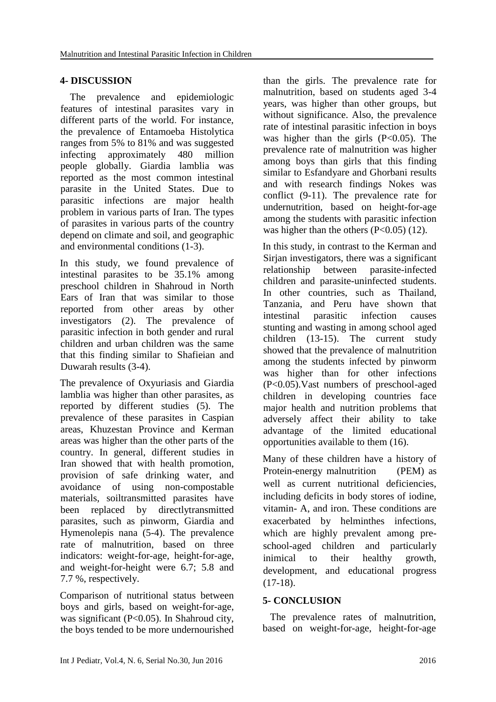### **4- DISCUSSION**

 The prevalence and epidemiologic features of intestinal parasites vary in different parts of the world. For instance, the prevalence of Entamoeba Histolytica ranges from 5% to 81% and was suggested infecting approximately 480 million people globally. Giardia lamblia was reported as the most common intestinal parasite in the United States. Due to parasitic infections are major health problem in various parts of Iran. The types of parasites in various parts of the country depend on climate and soil, and geographic and environmental conditions (1-3).

In this study, we found prevalence of intestinal parasites to be 35.1% among preschool children in Shahroud in North Ears of Iran that was similar to those reported from other areas by other investigators (2). The prevalence of parasitic infection in both gender and rural children and urban children was the same that this finding similar to Shafieian and Duwarah results (3-4).

The prevalence of Oxyuriasis and Giardia lamblia was higher than other parasites, as reported by different studies (5). The prevalence of these parasites in Caspian areas, Khuzestan Province and Kerman areas was higher than the other parts of the country. In general, different studies in Iran showed that with health promotion, provision of safe drinking water, and avoidance of using non-compostable materials, soiltransmitted parasites have been replaced by directlytransmitted parasites, such as pinworm, Giardia and Hymenolepis nana (5-4). The prevalence rate of malnutrition, based on three indicators: weight-for-age, height-for-age, and weight-for-height were 6.7; 5.8 and 7.7 %, respectively.

Comparison of nutritional status between boys and girls, based on weight-for-age, was significant (P<0.05). In Shahroud city, the boys tended to be more undernourished

than the girls. The prevalence rate for malnutrition, based on students aged 3-4 years, was higher than other groups, but without significance. Also, the prevalence rate of intestinal parasitic infection in boys was higher than the girls  $(P<0.05)$ . The prevalence rate of malnutrition was higher among boys than girls that this finding similar to Esfandyare and Ghorbani results and with research findings Nokes was conflict (9-11). The prevalence rate for undernutrition, based on height-for-age among the students with parasitic infection was higher than the others  $(P<0.05)$  (12).

In this study, in contrast to the Kerman and Sirjan investigators, there was a significant relationship between parasite-infected children and parasite-uninfected students. In other countries, such as Thailand, Tanzania, and Peru have shown that intestinal parasitic infection causes stunting and wasting in among school aged children (13-15). The current study showed that the prevalence of malnutrition among the students infected by pinworm was higher than for other infections (P<0.05).Vast numbers of preschool-aged children in developing countries face major health and nutrition problems that adversely affect their ability to take advantage of the limited educational opportunities available to them (16).

Many of these children have a history of Protein-energy malnutrition (PEM) as well as current nutritional deficiencies, including deficits in body stores of iodine, vitamin- A, and iron. These conditions are exacerbated by helminthes infections, which are highly prevalent among preschool-aged children and particularly inimical to their healthy growth, development, and educational progress  $(17-18).$ 

# **5- CONCLUSION**

 The prevalence rates of malnutrition, based on weight-for-age, height-for-age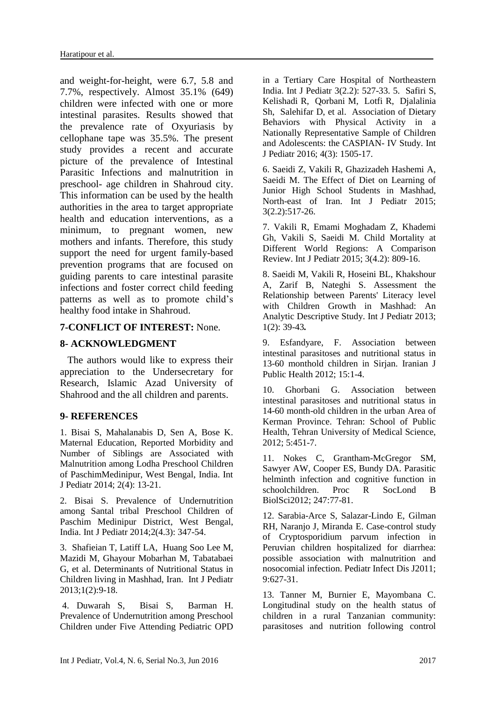and weight-for-height, were 6.7, 5.8 and 7.7%, respectively. Almost 35.1% (649) children were infected with one or more intestinal parasites. Results showed that the prevalence rate of Oxyuriasis by cellophane tape was 35.5%. The present study provides a recent and accurate picture of the prevalence of Intestinal Parasitic Infections and malnutrition in preschool- age children in Shahroud city. This information can be used by the health authorities in the area to target appropriate health and education interventions, as a minimum, to pregnant women, new mothers and infants. Therefore, this study support the need for urgent family-based prevention programs that are focused on guiding parents to care intestinal parasite infections and foster correct child feeding patterns as well as to promote child's healthy food intake in Shahroud.

#### **7-CONFLICT OF INTEREST:** None.

#### **8- ACKNOWLEDGMENT**

 The authors would like to express their appreciation to the Undersecretary for Research, Islamic Azad University of Shahrood and the all children and parents.

#### **9- REFERENCES**

1. Bisai S, Mahalanabis D, Sen A, Bose K. Maternal Education, Reported Morbidity and Number of Siblings are Associated with Malnutrition among Lodha Preschool Children of PaschimMedinipur, West Bengal, India. Int J Pediatr 2014; 2(4): 13-21.

2. Bisai S. Prevalence of Undernutrition among Santal tribal Preschool Children of Paschim Medinipur District, West Bengal, India. Int J Pediatr 2014;2(4.3): 347-54.

3. [Shafieian](http://ijp.mums.ac.ir/?_action=article&au=20180&_au=Tahereh++Shafieian) T, [Latiff](http://ijp.mums.ac.ir/?_action=article&au=19619&_au=Latiffah++A.+Latiff) LA, [Huang Soo Lee](http://ijp.mums.ac.ir/?_action=article&au=19620&_au=Mary++Huang+Soo+Lee) M[,](http://ijp.mums.ac.ir/?_action=article&au=19138&_au=Mohsen++Mazidi)  [Mazidi](http://ijp.mums.ac.ir/?_action=article&au=19138&_au=Mohsen++Mazidi) M, [Ghayour Mobarhan](http://ijp.mums.ac.ir/?_action=article&au=20181&_au=Majid++Ghayour+Mobarhan) M, [Tabatabaei](http://ijp.mums.ac.ir/?_action=article&au=19621&_au=Golsa++Tabatabaei) G, et al. Determinants of Nutritional Status in Children living in Mashhad, Iran. Int J Pediatr 2013;1(2):9-18.

4. [Duwarah S,](http://ijp.mums.ac.ir/?_action=article&au=39220&_au=Sourabh++Duwarah) [Bisai](http://ijp.mums.ac.ir/?_action=article&au=39228&_au=Samiran++Bisai) S, [Barman](http://ijp.mums.ac.ir/?_action=article&au=39231&_au=Himesh++Barman) H. Prevalence of Undernutrition among Preschool Children under Five Attending Pediatric OPD in a Tertiary Care Hospital of Northeastern India. Int J Pediatr 3(2.2): 527-33. 5. [Safiri](http://ijp.mums.ac.ir/?_action=article&au=55471&_au=Saeid++Safiri) S, [Kelishadi](http://ijp.mums.ac.ir/?_action=article&au=60167&_au=Roya++Kelishadi) R, [Qorbani](http://ijp.mums.ac.ir/?_action=article&au=60451&_au=Mostafa++Qorbani) M, [Lotfi](http://ijp.mums.ac.ir/?_action=article&au=60452&_au=Razieh++Lotfi) R, [Djalalinia](http://ijp.mums.ac.ir/?_action=article&au=60453&_au=Shirin++Djalalinia) Sh, [Salehifar](http://ijp.mums.ac.ir/?_action=article&au=60454&_au=Delara++Salehifar) D, [et](http://ijp.mums.ac.ir/?_action=article&au=60455&_au=Mohammad+Esmaeil++Motlagh) al. Association of Dietary Behaviors with Physical Activity in a Nationally Representative Sample of Children and Adolescents: the CASPIAN- IV Study. Int J Pediatr 2016; 4(3): 1505-17.

6. Saeidi Z, Vakili R, Ghazizadeh Hashemi A, Saeidi M. The Effect of Diet on Learning of Junior High School Students in Mashhad, North-east of Iran. Int J Pediatr 2015; 3(2.2):517-26.

7. Vakili R, Emami Moghadam Z, Khademi Gh, Vakili S, Saeidi M. Child Mortality at Different World Regions: A Comparison Review. Int J Pediatr 2015; 3(4.2): 809-16.

8. Saeidi M, Vakili R, Hoseini BL, Khakshour A, Zarif B, Nateghi S. Assessment the Relationship between Parents' Literacy level with Children Growth in Mashhad: An Analytic Descriptive Study. Int J Pediatr 2013; 1(2): 39-43*.*

9. Esfandyare, F. Association between intestinal parasitoses and nutritional status in 13-60 monthold children in Sirjan. Iranian J Public Health 2012; 15:1-4.

10. Ghorbani G. Association between intestinal parasitoses and nutritional status in 14-60 month-old children in the urban Area of Kerman Province. Tehran: School of Public Health, Tehran University of Medical Science, 2012; 5:451-7.

11. Nokes C, Grantham-McGregor SM, Sawyer AW, Cooper ES, Bundy DA. Parasitic helminth infection and cognitive function in schoolchildren. Proc R SocLond B BiolSci2012; 247:77-81.

12. Sarabia-Arce S, Salazar-Lindo E, Gilman RH, Naranjo J, Miranda E. Case-control study of Cryptosporidium parvum infection in Peruvian children hospitalized for diarrhea: possible association with malnutrition and nosocomial infection. Pediatr Infect Dis J2011; 9:627-31.

13. Tanner M, Burnier E, Mayombana C. Longitudinal study on the health status of children in a rural Tanzanian community: parasitoses and nutrition following control